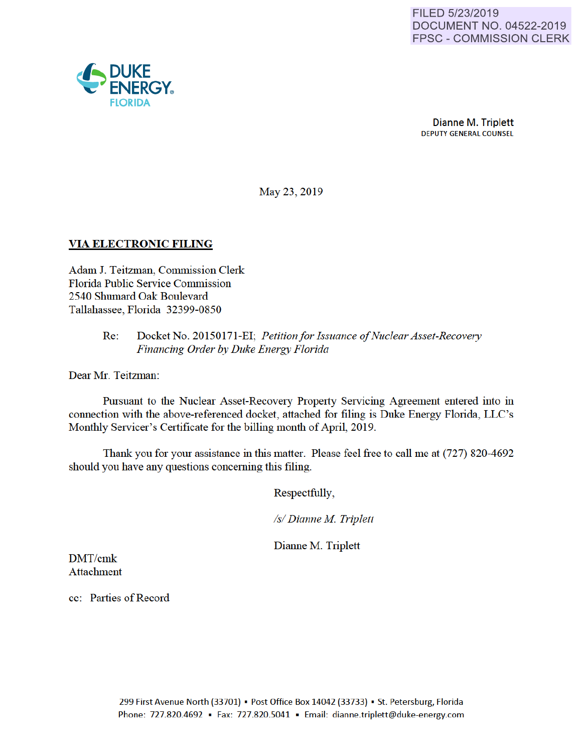

May 23, 2019

## VIA ELECTRONIC FILING

Adam J. Teitzman, Commission Clerk Florida Public Service Commission 2540 Shumard Oak Boulevard Tallahassee, Florida 32399-0850

### Re: Docket No. 20150171-EI; *Petition for Issuance of Nuclear Asset-Recovery Financing Order by Duke Energy Florida*

Dear Mr. Teitzman:

Pursuant to the Nuclear Asset-Recovery Property Servicing Agreement entered into in connection with the above-referenced docket, attached for filing is Duke Energy Florida, LLC's Monthly Servicer's Certificate for the billing month of April, 2019.

Thank you for your assistance in this matter. Please feel free to call me at (727) 820-4692 should you have any questions conceming this filing.

Respectfully,

*Is/ Dianne M Triplett* 

Dianne M. Triplett

DMT/cmk Attachment

cc: Parties of Record

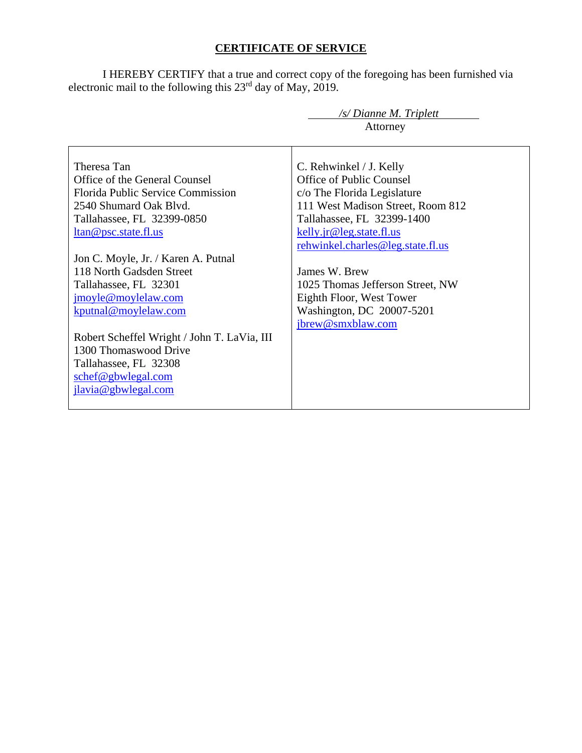# **CERTIFICATE OF SERVICE**

I HEREBY CERTIFY that a true and correct copy of the foregoing has been furnished via electronic mail to the following this  $23<sup>rd</sup>$  day of May, 2019.

| /s/ Dianne M. Triplett                      |                                   |  |
|---------------------------------------------|-----------------------------------|--|
|                                             | Attorney                          |  |
|                                             |                                   |  |
| Theresa Tan                                 | C. Rehwinkel / J. Kelly           |  |
| Office of the General Counsel               | Office of Public Counsel          |  |
| Florida Public Service Commission           | c/o The Florida Legislature       |  |
| 2540 Shumard Oak Blvd.                      | 111 West Madison Street, Room 812 |  |
| Tallahassee, FL 32399-0850                  | Tallahassee, FL 32399-1400        |  |
| ltan@psc.state.fl.us                        | kelly.jr@leg.state.fl.us          |  |
|                                             | rehwinkel.charles@leg.state.fl.us |  |
| Jon C. Moyle, Jr. / Karen A. Putnal         |                                   |  |
| 118 North Gadsden Street                    | James W. Brew                     |  |
| Tallahassee, FL 32301                       | 1025 Thomas Jefferson Street, NW  |  |
| jmoyle@moylelaw.com                         | Eighth Floor, West Tower          |  |
| kputnal@moylelaw.com                        | Washington, DC 20007-5201         |  |
|                                             | jbrew@smxblaw.com                 |  |
| Robert Scheffel Wright / John T. LaVia, III |                                   |  |
| 1300 Thomaswood Drive                       |                                   |  |
| Tallahassee, FL 32308                       |                                   |  |
| schef@gbwlegal.com                          |                                   |  |
| jlavia@gbwlegal.com                         |                                   |  |
|                                             |                                   |  |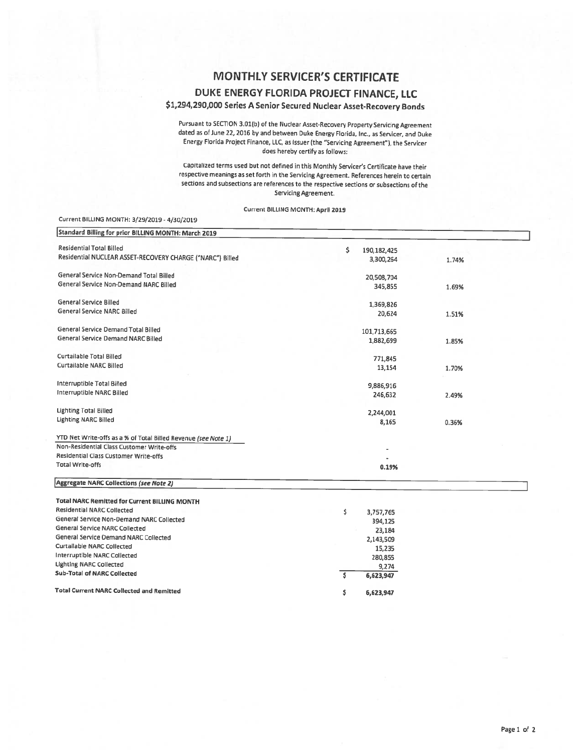# MONTHLY SERVICER'S CERTIFICATE

## DUKE ENERGY FLORIDA PROJECT FINANCE, LLC

#### \$1,294,290,000 Series A Senior Secured Nuclear Asset-Recovery Bonds

Pursuant to SECTION 3.01(b) of the Nuclear Asset-Recovery Property Servicing Agreement dated as of June 22, 2016 by and between Duke Energy Florida, Inc., as Servicer, and Duke Energy Florida Project Finance, LLC, as issuer (the "Servicing Agreement"), the Servicer does hereby certify as follows:

Capitalized terms used but not defined in this Monthly Servicer's Certificate have their respective meanings as set forth in the Servicing Agreement. References herein to certain sections and subsections are references to the respective sections or subsections of the Servicing Agreement.

Current BILLING MONTH: April 2019

#### Current BILLING MONTH: 3/29/2019 - 4/30/2019

| Standard Billing for prior BILLING MONTH: March 2019           |                     |       |  |
|----------------------------------------------------------------|---------------------|-------|--|
| <b>Residential Total Billed</b>                                | \$<br>190, 182, 425 |       |  |
| Residential NUCLEAR ASSET-RECOVERY CHARGE ("NARC") Billed      | 3,300,264           | 1.74% |  |
| General Service Non-Demand Total Billed                        | 20,508,704          |       |  |
| General Service Non-Demand NARC Billed                         | 345,855             | 1.69% |  |
| General Service Billed                                         | 1,369,826           |       |  |
| General Service NARC Billed                                    | 20,624              | 1.51% |  |
| General Service Demand Total Billed                            | 101,713,665         |       |  |
| <b>General Service Demand NARC Billed</b>                      | 1,882,699           | 1.85% |  |
| Curtailable Total Billed                                       | 771,845             |       |  |
| <b>Curtailable NARC Billed</b>                                 | 13,154              | 1.70% |  |
| Interruptible Total Billed                                     | 9,886,916           |       |  |
| Interruptible NARC Billed                                      | 246,632             | 2.49% |  |
| <b>Lighting Total Billed</b>                                   | 2,244,001           |       |  |
| <b>Lighting NARC Billed</b>                                    | 8,165               | 0.36% |  |
| YTD Net Write-offs as a % of Total Billed Revenue (see Note 1) |                     |       |  |
| Non-Residential Class Customer Write-offs                      |                     |       |  |
| Residential Class Customer Write-offs                          |                     |       |  |
| <b>Total Write-offs</b>                                        | 0.19%               |       |  |
| <b>Aggregate NARC Collections (see Note 2)</b>                 |                     |       |  |
| <b>Total NARC Remitted for Current BILLING MONTH</b>           |                     |       |  |
| <b>Residential NARC Collected</b>                              | \$<br>3,757,765     |       |  |
| General Service Non-Demand NARC Collected                      | 394,125             |       |  |
| General Service NARC Collected                                 | 23,184              |       |  |
| General Service Demand NARC Collected                          | 2,143,509           |       |  |
| Curtailable NARC Collected                                     | 15,235              |       |  |
| Interruptible NARC Collected                                   | 280,855             |       |  |
| <b>Lighting NARC Collected</b>                                 | 9,274               |       |  |
| <b>Sub-Total of NARC Collected</b>                             | \$<br>6,623,947     |       |  |
| Total Current NARC Collected and Remitted                      | \$<br>6,623,947     |       |  |
|                                                                |                     |       |  |